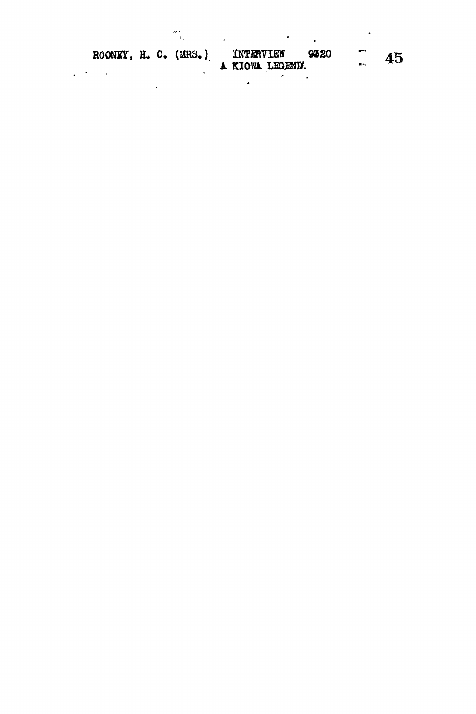ROONEY, H. C. (MRS.) INTERVIEW 9320  $\begin{array}{cc} - & 45 \end{array}$ 

 $\sim 10^{-11}$ 

 $\label{eq:1} \frac{d\mathbf{r}}{dt} = \frac{1}{2} \sum_{i=1}^n \frac{d\mathbf{r}}{dt} \mathbf{r}_i \mathbf{r}_i \mathbf{r}_i \mathbf{r}_i \mathbf{r}_i \mathbf{r}_i \mathbf{r}_i \mathbf{r}_i \mathbf{r}_i \mathbf{r}_i \mathbf{r}_i \mathbf{r}_i \mathbf{r}_i \mathbf{r}_i \mathbf{r}_i \mathbf{r}_i \mathbf{r}_i \mathbf{r}_i \mathbf{r}_i \mathbf{r}_i \mathbf{r}_i \mathbf{r}_i \mathbf{r}_i \mathbf{r}_i \math$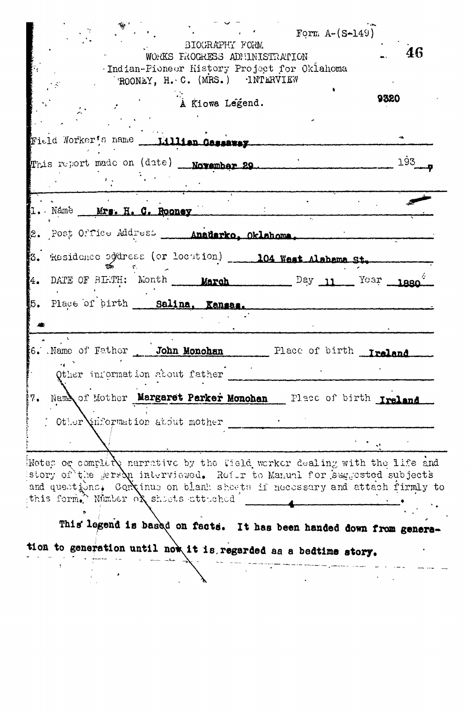Form  $A-(S-149)$ BIOGRAPHY FORM 46 WORKS FROCRESS ADMINISTRATION Indian-Pioneer History Project for Oklahoma ROONEY, H. C. (MRS.) INTERVIEW 9320 À Kiowa Legend. Field Worker's name \_\_ Lillian Cassaway This report made on (date) **November 29** 193 1. Name Mrs. H. C. Rooney 2. Post Office Address \_\_\_\_ Anadarko, Oklahoma, 3. Residence eddress (or locution) \_\_\_\_ 104 West Alabama St. 4. DATE OF BIETH: Month March Day 11 Year 1880 5. Place of birth Salina, Kansas. 6. Name of Father John Monchan Place of birth Ireland Other information about father 7. Name of Mother Margaret Parker Monohan Place of birth Ireland  $\text{C}$  Other information atout mother Notes or complete narrative by the field worker dealing with the life and story of the gers $\lambda$ n interviewed. Refor to Manual for suggested subjects and questions. Continus on blank sheets if necessary and attach firmly to this form. Wimber of shoets atteched  $\mathbf{A}$ This legend is based on facts. It has been handed down from genera-

tion to generation until now it is regarded as a bedtime story.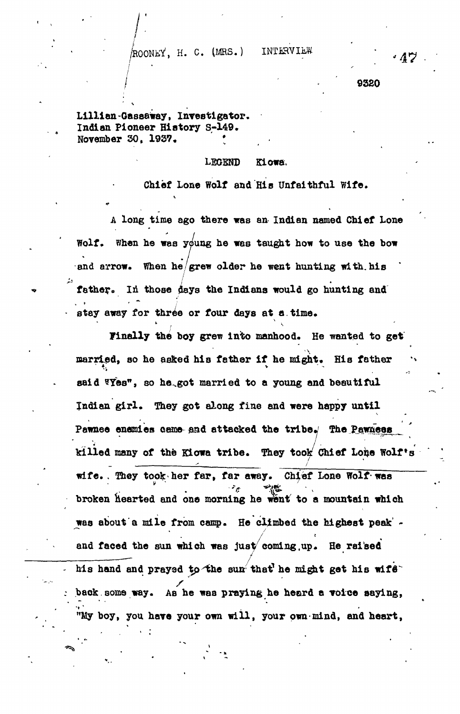**ACOONEY, H. C. (MRS.) INTERVIEW** 

**<sup>I</sup> 9320**

**Lillian-Gasaaway, Investigator. Indian Pioneer History S-149.** November 30, 1937.

t.

## **LEGEND Kiowa,**

**Chief Lone Wolf and His Unfaithful Wife.**

**A long time ago there was an Indian named Chief Lone Wolf, when he was young he was taught how to use the bow and arrow. When he/grew older he went hunting with, his** father. In those days the Indians would go hunting and **stay away for three or four days at a.time.**

 $\frac{1}{2}$  $m$ e ooy grew into mannood. He wanted to ge married, so he asked his father if he might. His father said **Wes"**, so he got married to a young and beautiful <sup>1</sup> \*. v \* ^ "4 **aaid 3Yes<sup>n</sup> , so he ..got married to a young and beautiful** killed many of the Kiowa tribe. They took Chief Lone Wolf's **Pawnee enemies Game-gad attacked the tribey The pawneas \_ ' killed many of the Kiowa tribe. They tools Chief Lofce Wolf »s wife. . They took/her far, far away. Ch^ef Lone Wolf• was broken hearted and one morning he went to a mountain which was about a mile from camp. He climbed the highest peak' - / and faced the sun which was just coming,up. He raised** his hand and prayed to the sun that he might get his wife**back.some way. As he was praying he heard a voice saying, boy, you have your own will, your own-mind, and heart,**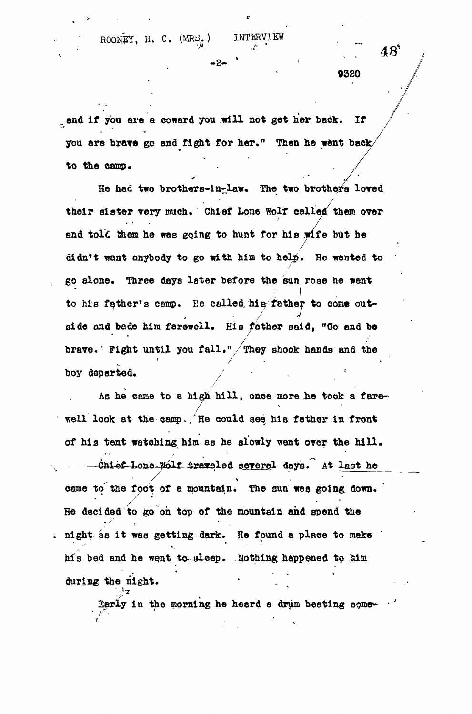ROONEY, H. C. (MRS.) INTERVIEW

end if you are a coward you will not get her back. If

you are brave go and fight for her." Then he went back to the camp.

- 2 %

He had two brothers-in-law. The two brothers loved their sister very much. Chief Lone Wolf called them over and told them he was going to hunt for his wife but he didn't want anybody to go with him to help. He wanted to go alone. Three days later before the sun rose he went l<br>+  $\frac{1}{\sqrt{2}}$  can prove the called , he called  $\frac{1}{\sqrt{2}}$  for come out-/' side and bade him farewell. His father said, "Go and be brave. Fight until you fall." They shook hands and the brave\**"* Fight until you fall. " /They shook hands and the

As he came to a high hill, once more he took a fare- $\overrightarrow{A}$  he can to  $\overrightarrow{B}$  and  $\overrightarrow{B}$  and  $\overrightarrow{B}$  and  $\overrightarrow{B}$ / well look at the camp,  $\mathcal{L}_{\text{max}}$  is father in front see, his father in front see, his father in front see, his father in front see, his father in front see, his father in front see, his father in front see, his father of his tent watching him as he slowly went over the him as he slowly went over the hill . The hill  $\mathcal{L}_\text{max}$  $\frac{4}{\sqrt{2}}$  and  $\frac{4}{\sqrt{2}}$  ratio securities in the last height here is a last here is a last here is a last here is a last here is a last here is a last here is a last here is a last here is a last here is a last here came to the foot of a mountain. The sun wee going down. He decided to go on top of the mountain and spend the night as it was getting dark. He found a place to make his bed and he went to sleep. Nothing happened to him during the night.

Early in the morning he heard a drum beating some-

 $48^{\circ}$ 

9320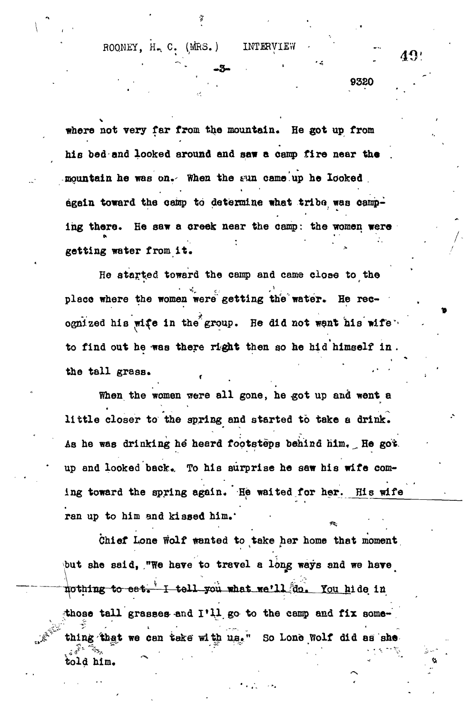ROONEY, H. C. (MRS.) INTERVIEW

**getting water from it.**

**9320** 

where not very far from the mountain. He got up from his bed and looked around and saw a camp fire near the mountain he was on. When the sun came up he looked **mountain he was on.- When the a m came up he looked . again toward the camp to determine what trlbo was camping there. Be saw a creek near the camp: the women were** getting water from it.

**-3-**

**He atajrt.ed toward the camp and came close to the** ognized his wife in the group. He did not went his wife<sup>1</sup> **ognized hi a wi^e in the group. He did not want his wife\* to find out he was there right then so he hid himself in .**

**the tall gra88. f -' ' When the women were all gones were all gones were all gones were all gones were all gones were all gones were** little closer to the spring and started to take a drink. **little closer to the spring and started to take a drink.** As he was drinking he heard footsteps behind him. He got. **As he was drinking he heard footsteps behind him, . He got** up and looked back. To his surprise he saw his wife com**up and looked back.. To his surprise he saw his wife com**ing toward the spring again. He waited for her. His wife **ing toward the spring again. He waited for her. His wife** ran up to him and kissed him.

**ran up to him and kissed him.' • , .** Chief Lone Wolf wanted to take her home that moment but she said, "We have to travel a long ways and we have nothing to eat. I tell you what we'll do. You hide in those tall grasses and I'll go to the camp and fix something that we can take with us." So Lone Wolf did as she t\*\*  $\mathbf{r} = \mathbf{r} \cdot \mathbf{r}$  . The set of  $\mathbf{r} = \mathbf{r} \cdot \mathbf{r}$  is the set of  $\mathbf{r} = \mathbf{r} \cdot \mathbf{r}$ **told him.**

 $49<sup>1</sup>$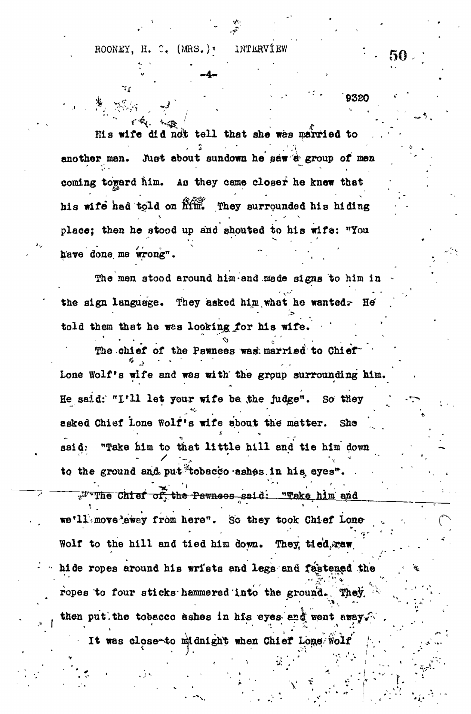ROONEY, H. C. (MRS.)\* INTERVIEW

His wife did not tell that she was married to **. 2 • • / ."/ \ another man. Just about sundown he saw 8<sup>s</sup> group of men coming** toward him. As they came community that his wife had told on **him.** They surrounded his hiding **place; then he stood up and shouted to his wife: "You have done, me wrong" • ~**

**The men stood around hlm-and sfade signs to him in** the sign language. They asked him what he wanted<sub>7</sub> He' **told them that he was looking\_for his wife.**

The chief of the Pawnees wash married to Chief" **Lone Wolf's wife and was with' the group surrounding him.** He said: "I'll let your wife ba the judge". So they **asked Chief Lone Wolf's wife about the matter. She** said: "Take him to that little hill and tie him down to the ground and put tobacco ashes. in his eyes<sup>"</sup>. **From and** of the Pernses said: "Take him and we'll. move 'away from here". So they took Chief Lone Wolf to the hill and tied him down. They, tied, waw **hide ropes around his wri'ata ead legs and fa'storied the ropes to four sticks-hammered into the ground\*. They, ' then put.the tobacco ashes in his eyes- enk, wont • •** *•>. •* **; i . - .-.** It was dose^to midnight when Chief Lone;- Wolf

50

9320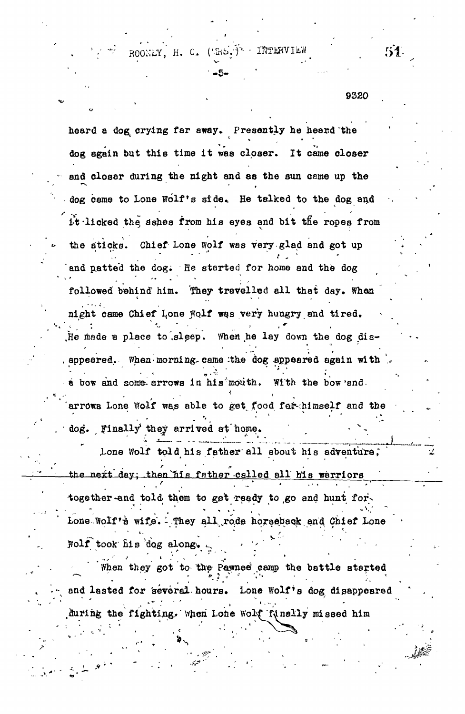ROOKLY, H. C.  $(4kb.)^2$  - INTERVIEW  $51$ .

**•-5 - \* • -**

. la la s '--:

9320

heard a dog crying far away. Presently he heard the dog again but this time it was closer. It came closer and closer during the night and as the sun ceme up the dog came to Lone Wolf's side. He talked to the dog and it -licked the, ashes from his eyes and bit tfie ropes from the sticks. Chief Lone Wolf was very glad and got up and patted the dog. He started for home and the dog followed behind him. They travelled all that day. Whan \* • • - • night came Chief Lone Wolf was very hungry and tired. , and the set of the set of the set of the set of the set of the set of the set of the set of the set of the set of the set of the set of the set of the set of the set of the set of the set of the set of the set of the se He made a place to sleep. When he lay down the dog disappeared. When morning came the dog appeared again with • » • 8 bow and some arrows in his mouth. With the bow end. arrows Lone Wolf was able to get food for himself and the **• • \*' : ' ' '" '** .  $\log_{\bullet}$  Finally they arrived at home. Lone Wolf told his father all about his adventure; the next day; then his father called all his warriors together-and told them to get ready to go and hunt for-**• - -. •\*; . '. '<sup>v</sup> - v '<'.'. ' ' -** *<sup>s</sup>-'* **" .** Folf took his dog along.

When they got to the Pawnee camp the battle atarted  $\mathbb{R}^d$  lasted for several hours. Lone Wolf's doz disappeared during the fighting. When Lone Wolf funally missed him

**S**

during the fightijig.. When Lone Wolf finally missed him